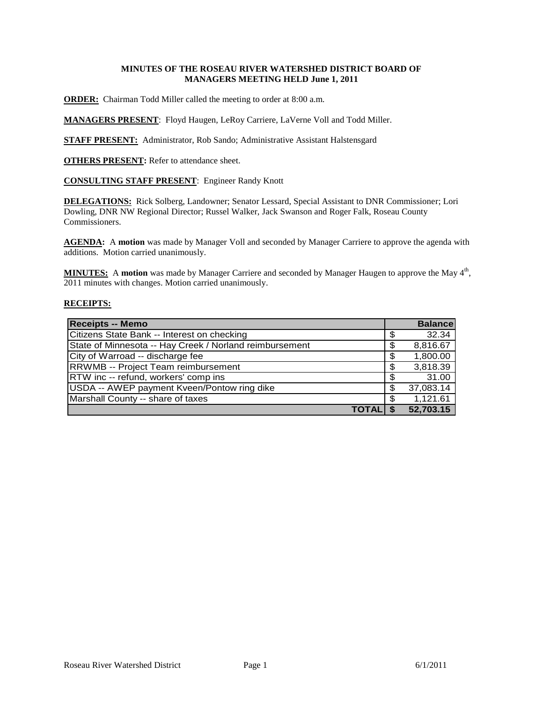# **MINUTES OF THE ROSEAU RIVER WATERSHED DISTRICT BOARD OF MANAGERS MEETING HELD June 1, 2011**

**ORDER:** Chairman Todd Miller called the meeting to order at 8:00 a.m.

**MANAGERS PRESENT**: Floyd Haugen, LeRoy Carriere, LaVerne Voll and Todd Miller.

**STAFF PRESENT:** Administrator, Rob Sando; Administrative Assistant Halstensgard

**OTHERS PRESENT:** Refer to attendance sheet.

**CONSULTING STAFF PRESENT**: Engineer Randy Knott

**DELEGATIONS:** Rick Solberg, Landowner; Senator Lessard, Special Assistant to DNR Commissioner; Lori Dowling, DNR NW Regional Director; Russel Walker, Jack Swanson and Roger Falk, Roseau County Commissioners.

**AGENDA:** A **motion** was made by Manager Voll and seconded by Manager Carriere to approve the agenda with additions. Motion carried unanimously.

MINUTES: A motion was made by Manager Carriere and seconded by Manager Haugen to approve the May 4<sup>th</sup>, 2011 minutes with changes. Motion carried unanimously.

#### **RECEIPTS:**

| <b>Receipts -- Memo</b>                                 |              |    | <b>Balance</b> |
|---------------------------------------------------------|--------------|----|----------------|
| Citizens State Bank -- Interest on checking             |              | S  | 32.34          |
| State of Minnesota -- Hay Creek / Norland reimbursement |              | \$ | 8,816.67       |
| City of Warroad -- discharge fee                        |              | \$ | 1,800.00       |
| RRWMB -- Project Team reimbursement                     |              | \$ | 3,818.39       |
| RTW inc -- refund, workers' comp ins                    |              |    | 31.00          |
| USDA -- AWEP payment Kveen/Pontow ring dike             |              | S  | 37,083.14      |
| Marshall County -- share of taxes                       |              |    | 1,121.61       |
|                                                         | <b>TOTAL</b> |    | 52,703.15      |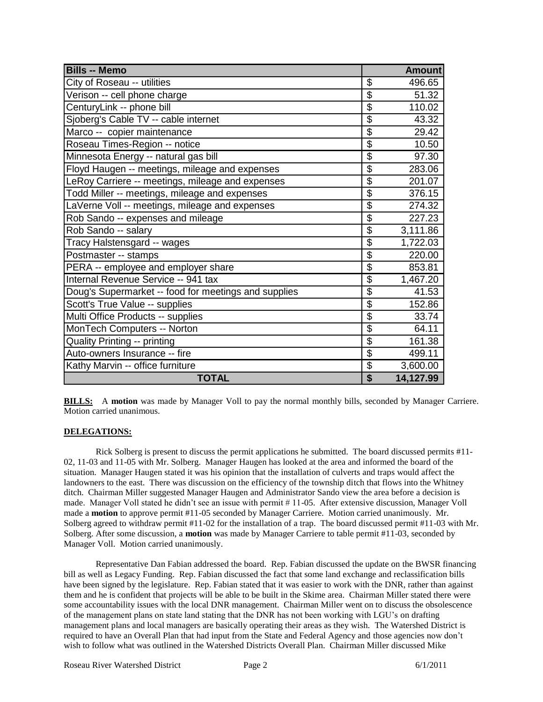| <b>Bills -- Memo</b>                                 |                                      | <b>Amount</b> |
|------------------------------------------------------|--------------------------------------|---------------|
| City of Roseau -- utilities                          | \$                                   | 496.65        |
| Verison -- cell phone charge                         | \$                                   | 51.32         |
| CenturyLink -- phone bill                            | $\overline{\$}$                      | 110.02        |
| Sjoberg's Cable TV -- cable internet                 | $\overline{\mathfrak{s}}$            | 43.32         |
| Marco -- copier maintenance                          | $\overline{\mathfrak{s}}$            | 29.42         |
| Roseau Times-Region -- notice                        | \$                                   | 10.50         |
| Minnesota Energy -- natural gas bill                 | \$                                   | 97.30         |
| Floyd Haugen -- meetings, mileage and expenses       | \$                                   | 283.06        |
| LeRoy Carriere -- meetings, mileage and expenses     | $\overline{\$}$                      | 201.07        |
| Todd Miller -- meetings, mileage and expenses        | $\overline{\$}$                      | 376.15        |
| LaVerne Voll -- meetings, mileage and expenses       | $\overline{\$}$                      | 274.32        |
| Rob Sando -- expenses and mileage                    | $\overline{\$}$                      | 227.23        |
| Rob Sando -- salary                                  | $\overline{\mathbf{S}}$              | 3,111.86      |
| Tracy Halstensgard -- wages                          | $\overline{\mathbf{S}}$              | 1,722.03      |
| Postmaster -- stamps                                 | \$                                   | 220.00        |
| PERA -- employee and employer share                  | \$                                   | 853.81        |
| Internal Revenue Service -- 941 tax                  | $\overline{\$}$                      | 1,467.20      |
| Doug's Supermarket -- food for meetings and supplies | $\overline{\$}$                      | 41.53         |
| Scott's True Value -- supplies                       | $\overline{\$}$                      | 152.86        |
| Multi Office Products -- supplies                    | \$                                   | 33.74         |
| MonTech Computers -- Norton                          | $\overline{\$}$                      | 64.11         |
| Quality Printing -- printing                         | \$                                   | 161.38        |
| Auto-owners Insurance -- fire                        | \$                                   | 499.11        |
| Kathy Marvin -- office furniture                     | \$                                   | 3,600.00      |
| <b>TOTAL</b>                                         | $\overline{\boldsymbol{\mathsf{s}}}$ | 14,127.99     |

**BILLS:** A **motion** was made by Manager Voll to pay the normal monthly bills, seconded by Manager Carriere. Motion carried unanimous.

# **DELEGATIONS:**

Rick Solberg is present to discuss the permit applications he submitted. The board discussed permits #11- 02, 11-03 and 11-05 with Mr. Solberg. Manager Haugen has looked at the area and informed the board of the situation. Manager Haugen stated it was his opinion that the installation of culverts and traps would affect the landowners to the east. There was discussion on the efficiency of the township ditch that flows into the Whitney ditch. Chairman Miller suggested Manager Haugen and Administrator Sando view the area before a decision is made. Manager Voll stated he didn't see an issue with permit # 11-05. After extensive discussion, Manager Voll made a **motion** to approve permit #11-05 seconded by Manager Carriere. Motion carried unanimously. Mr. Solberg agreed to withdraw permit #11-02 for the installation of a trap. The board discussed permit #11-03 with Mr. Solberg. After some discussion, a **motion** was made by Manager Carriere to table permit #11-03, seconded by Manager Voll. Motion carried unanimously.

Representative Dan Fabian addressed the board. Rep. Fabian discussed the update on the BWSR financing bill as well as Legacy Funding. Rep. Fabian discussed the fact that some land exchange and reclassification bills have been signed by the legislature. Rep. Fabian stated that it was easier to work with the DNR, rather than against them and he is confident that projects will be able to be built in the Skime area. Chairman Miller stated there were some accountability issues with the local DNR management. Chairman Miller went on to discuss the obsolescence of the management plans on state land stating that the DNR has not been working with LGU's on drafting management plans and local managers are basically operating their areas as they wish. The Watershed District is required to have an Overall Plan that had input from the State and Federal Agency and those agencies now don't wish to follow what was outlined in the Watershed Districts Overall Plan. Chairman Miller discussed Mike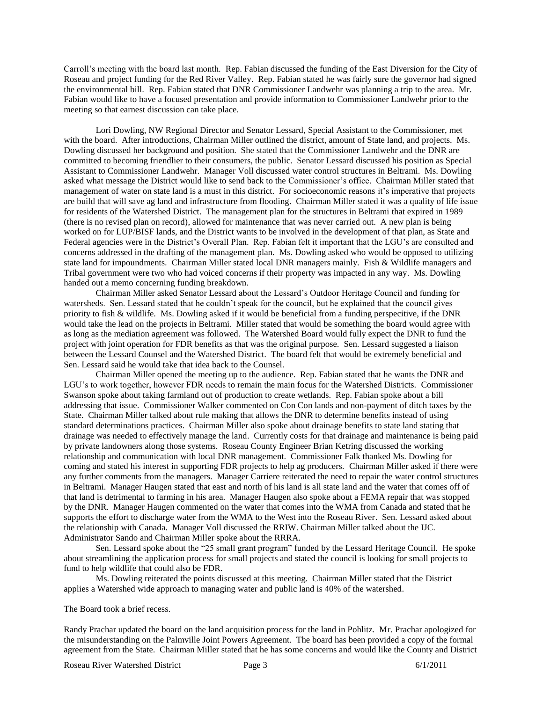Carroll's meeting with the board last month. Rep. Fabian discussed the funding of the East Diversion for the City of Roseau and project funding for the Red River Valley. Rep. Fabian stated he was fairly sure the governor had signed the environmental bill. Rep. Fabian stated that DNR Commissioner Landwehr was planning a trip to the area. Mr. Fabian would like to have a focused presentation and provide information to Commissioner Landwehr prior to the meeting so that earnest discussion can take place.

Lori Dowling, NW Regional Director and Senator Lessard, Special Assistant to the Commissioner, met with the board. After introductions, Chairman Miller outlined the district, amount of State land, and projects. Ms. Dowling discussed her background and position. She stated that the Commissioner Landwehr and the DNR are committed to becoming friendlier to their consumers, the public. Senator Lessard discussed his position as Special Assistant to Commissioner Landwehr. Manager Voll discussed water control structures in Beltrami. Ms. Dowling asked what message the District would like to send back to the Commissioner's office. Chairman Miller stated that management of water on state land is a must in this district. For socioeconomic reasons it's imperative that projects are build that will save ag land and infrastructure from flooding. Chairman Miller stated it was a quality of life issue for residents of the Watershed District. The management plan for the structures in Beltrami that expired in 1989 (there is no revised plan on record), allowed for maintenance that was never carried out. A new plan is being worked on for LUP/BISF lands, and the District wants to be involved in the development of that plan, as State and Federal agencies were in the District's Overall Plan. Rep. Fabian felt it important that the LGU's are consulted and concerns addressed in the drafting of the management plan. Ms. Dowling asked who would be opposed to utilizing state land for impoundments. Chairman Miller stated local DNR managers mainly. Fish & Wildlife managers and Tribal government were two who had voiced concerns if their property was impacted in any way. Ms. Dowling handed out a memo concerning funding breakdown.

Chairman Miller asked Senator Lessard about the Lessard's Outdoor Heritage Council and funding for watersheds. Sen. Lessard stated that he couldn't speak for the council, but he explained that the council gives priority to fish & wildlife. Ms. Dowling asked if it would be beneficial from a funding perspecitive, if the DNR would take the lead on the projects in Beltrami. Miller stated that would be something the board would agree with as long as the mediation agreement was followed. The Watershed Board would fully expect the DNR to fund the project with joint operation for FDR benefits as that was the original purpose. Sen. Lessard suggested a liaison between the Lessard Counsel and the Watershed District. The board felt that would be extremely beneficial and Sen. Lessard said he would take that idea back to the Counsel.

Chairman Miller opened the meeting up to the audience. Rep. Fabian stated that he wants the DNR and LGU's to work together, however FDR needs to remain the main focus for the Watershed Districts. Commissioner Swanson spoke about taking farmland out of production to create wetlands. Rep. Fabian spoke about a bill addressing that issue. Commissioner Walker commented on Con Con lands and non-payment of ditch taxes by the State. Chairman Miller talked about rule making that allows the DNR to determine benefits instead of using standard determinations practices. Chairman Miller also spoke about drainage benefits to state land stating that drainage was needed to effectively manage the land. Currently costs for that drainage and maintenance is being paid by private landowners along those systems. Roseau County Engineer Brian Ketring discussed the working relationship and communication with local DNR management. Commissioner Falk thanked Ms. Dowling for coming and stated his interest in supporting FDR projects to help ag producers. Chairman Miller asked if there were any further comments from the managers. Manager Carriere reiterated the need to repair the water control structures in Beltrami. Manager Haugen stated that east and north of his land is all state land and the water that comes off of that land is detrimental to farming in his area. Manager Haugen also spoke about a FEMA repair that was stopped by the DNR. Manager Haugen commented on the water that comes into the WMA from Canada and stated that he supports the effort to discharge water from the WMA to the West into the Roseau River. Sen. Lessard asked about the relationship with Canada. Manager Voll discussed the RRIW. Chairman Miller talked about the IJC. Administrator Sando and Chairman Miller spoke about the RRRA.

Sen. Lessard spoke about the "25 small grant program" funded by the Lessard Heritage Council. He spoke about streamlining the application process for small projects and stated the council is looking for small projects to fund to help wildlife that could also be FDR.

Ms. Dowling reiterated the points discussed at this meeting. Chairman Miller stated that the District applies a Watershed wide approach to managing water and public land is 40% of the watershed.

The Board took a brief recess.

Randy Prachar updated the board on the land acquisition process for the land in Pohlitz. Mr. Prachar apologized for the misunderstanding on the Palmville Joint Powers Agreement. The board has been provided a copy of the formal agreement from the State. Chairman Miller stated that he has some concerns and would like the County and District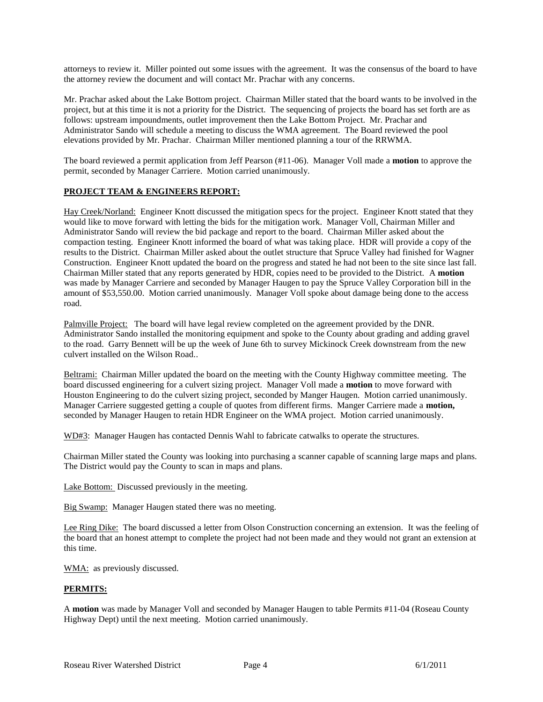attorneys to review it. Miller pointed out some issues with the agreement. It was the consensus of the board to have the attorney review the document and will contact Mr. Prachar with any concerns.

Mr. Prachar asked about the Lake Bottom project. Chairman Miller stated that the board wants to be involved in the project, but at this time it is not a priority for the District. The sequencing of projects the board has set forth are as follows: upstream impoundments, outlet improvement then the Lake Bottom Project. Mr. Prachar and Administrator Sando will schedule a meeting to discuss the WMA agreement. The Board reviewed the pool elevations provided by Mr. Prachar. Chairman Miller mentioned planning a tour of the RRWMA.

The board reviewed a permit application from Jeff Pearson (#11-06). Manager Voll made a **motion** to approve the permit, seconded by Manager Carriere. Motion carried unanimously.

### **PROJECT TEAM & ENGINEERS REPORT:**

Hay Creek/Norland: Engineer Knott discussed the mitigation specs for the project. Engineer Knott stated that they would like to move forward with letting the bids for the mitigation work. Manager Voll, Chairman Miller and Administrator Sando will review the bid package and report to the board. Chairman Miller asked about the compaction testing. Engineer Knott informed the board of what was taking place. HDR will provide a copy of the results to the District. Chairman Miller asked about the outlet structure that Spruce Valley had finished for Wagner Construction. Engineer Knott updated the board on the progress and stated he had not been to the site since last fall. Chairman Miller stated that any reports generated by HDR, copies need to be provided to the District. A **motion** was made by Manager Carriere and seconded by Manager Haugen to pay the Spruce Valley Corporation bill in the amount of \$53,550.00. Motion carried unanimously. Manager Voll spoke about damage being done to the access road.

Palmville Project: The board will have legal review completed on the agreement provided by the DNR. Administrator Sando installed the monitoring equipment and spoke to the County about grading and adding gravel to the road. Garry Bennett will be up the week of June 6th to survey Mickinock Creek downstream from the new culvert installed on the Wilson Road..

Beltrami: Chairman Miller updated the board on the meeting with the County Highway committee meeting. The board discussed engineering for a culvert sizing project. Manager Voll made a **motion** to move forward with Houston Engineering to do the culvert sizing project, seconded by Manger Haugen. Motion carried unanimously. Manager Carriere suggested getting a couple of quotes from different firms. Manger Carriere made a **motion,**  seconded by Manager Haugen to retain HDR Engineer on the WMA project. Motion carried unanimously.

WD#3: Manager Haugen has contacted Dennis Wahl to fabricate catwalks to operate the structures.

Chairman Miller stated the County was looking into purchasing a scanner capable of scanning large maps and plans. The District would pay the County to scan in maps and plans.

Lake Bottom: Discussed previously in the meeting.

Big Swamp: Manager Haugen stated there was no meeting.

Lee Ring Dike: The board discussed a letter from Olson Construction concerning an extension. It was the feeling of the board that an honest attempt to complete the project had not been made and they would not grant an extension at this time.

WMA: as previously discussed.

#### **PERMITS:**

A **motion** was made by Manager Voll and seconded by Manager Haugen to table Permits #11-04 (Roseau County Highway Dept) until the next meeting. Motion carried unanimously.